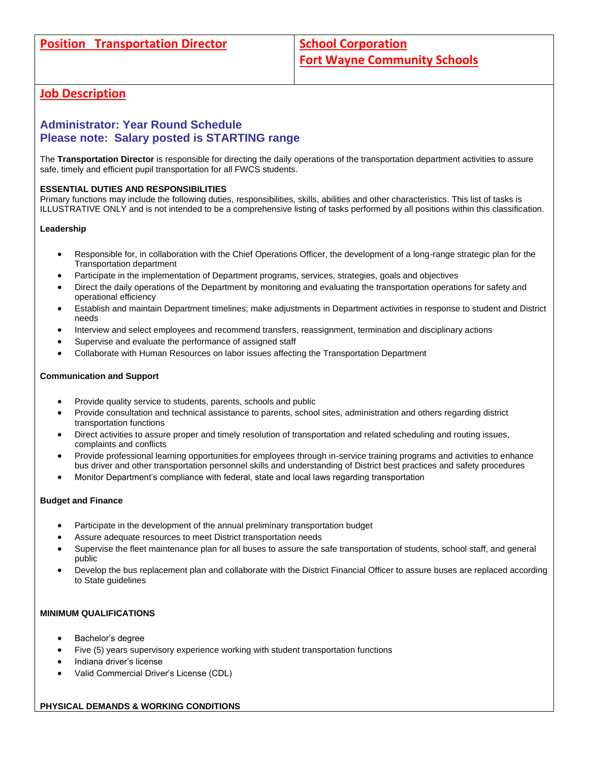# **Job Description**

# **Administrator: Year Round Schedule Please note: Salary posted is STARTING range**

The **Transportation Director** is responsible for directing the daily operations of the transportation department activities to assure safe, timely and efficient pupil transportation for all FWCS students.

#### **ESSENTIAL DUTIES AND RESPONSIBILITIES**

Primary functions may include the following duties, responsibilities, skills, abilities and other characteristics. This list of tasks is ILLUSTRATIVE ONLY and is not intended to be a comprehensive listing of tasks performed by all positions within this classification.

#### **Leadership**

- Responsible for, in collaboration with the Chief Operations Officer, the development of a long-range strategic plan for the Transportation department
- Participate in the implementation of Department programs, services, strategies, goals and objectives
- Direct the daily operations of the Department by monitoring and evaluating the transportation operations for safety and operational efficiency
- Establish and maintain Department timelines; make adjustments in Department activities in response to student and District needs
- Interview and select employees and recommend transfers, reassignment, termination and disciplinary actions
- Supervise and evaluate the performance of assigned staff
- Collaborate with Human Resources on labor issues affecting the Transportation Department

#### **Communication and Support**

- Provide quality service to students, parents, schools and public
- Provide consultation and technical assistance to parents, school sites, administration and others regarding district transportation functions
- Direct activities to assure proper and timely resolution of transportation and related scheduling and routing issues, complaints and conflicts
- Provide professional learning opportunities for employees through in-service training programs and activities to enhance bus driver and other transportation personnel skills and understanding of District best practices and safety procedures
- Monitor Department's compliance with federal, state and local laws regarding transportation

## **Budget and Finance**

- Participate in the development of the annual preliminary transportation budget
- Assure adequate resources to meet District transportation needs
- Supervise the fleet maintenance plan for all buses to assure the safe transportation of students, school staff, and general public
- Develop the bus replacement plan and collaborate with the District Financial Officer to assure buses are replaced according to State guidelines

## **MINIMUM QUALIFICATIONS**

- Bachelor's degree
- Five (5) years supervisory experience working with student transportation functions
- Indiana driver's license
- Valid Commercial Driver's License (CDL)

## **PHYSICAL DEMANDS & WORKING CONDITIONS**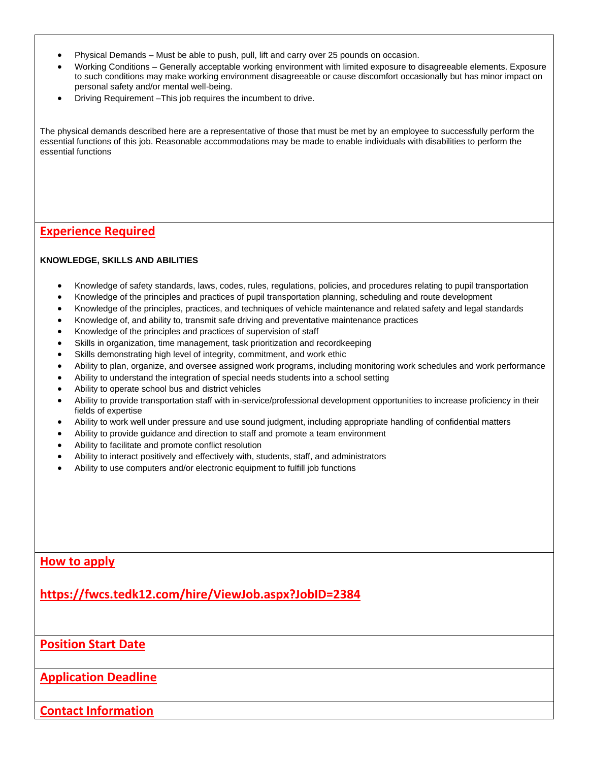- Physical Demands Must be able to push, pull, lift and carry over 25 pounds on occasion.
- Working Conditions Generally acceptable working environment with limited exposure to disagreeable elements. Exposure to such conditions may make working environment disagreeable or cause discomfort occasionally but has minor impact on personal safety and/or mental well-being.
- Driving Requirement –This job requires the incumbent to drive.

The physical demands described here are a representative of those that must be met by an employee to successfully perform the essential functions of this job. Reasonable accommodations may be made to enable individuals with disabilities to perform the essential functions

## **Experience Required**

#### **KNOWLEDGE, SKILLS AND ABILITIES**

- Knowledge of safety standards, laws, codes, rules, regulations, policies, and procedures relating to pupil transportation
- Knowledge of the principles and practices of pupil transportation planning, scheduling and route development
- Knowledge of the principles, practices, and techniques of vehicle maintenance and related safety and legal standards
- Knowledge of, and ability to, transmit safe driving and preventative maintenance practices
- Knowledge of the principles and practices of supervision of staff
- Skills in organization, time management, task prioritization and recordkeeping
- Skills demonstrating high level of integrity, commitment, and work ethic
- Ability to plan, organize, and oversee assigned work programs, including monitoring work schedules and work performance
- Ability to understand the integration of special needs students into a school setting
- Ability to operate school bus and district vehicles
- Ability to provide transportation staff with in-service/professional development opportunities to increase proficiency in their fields of expertise
- Ability to work well under pressure and use sound judgment, including appropriate handling of confidential matters
- Ability to provide guidance and direction to staff and promote a team environment
- Ability to facilitate and promote conflict resolution
- Ability to interact positively and effectively with, students, staff, and administrators
- Ability to use computers and/or electronic equipment to fulfill job functions

# **How to apply**

**https://fwcs.tedk12.com/hire/ViewJob.aspx?JobID=2384**

## **Position Start Date**

**Application Deadline**

**Contact Information**